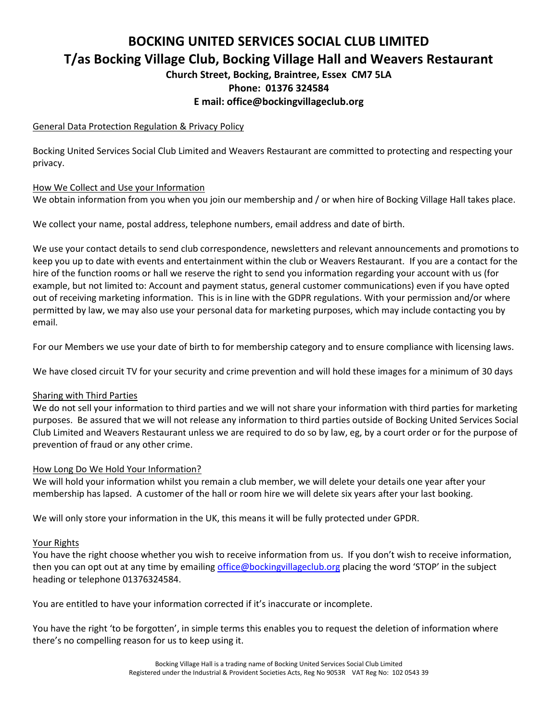# **BOCKING UNITED SERVICES SOCIAL CLUB LIMITED T/as Bocking Village Club, Bocking Village Hall and Weavers Restaurant**

**Church Street, Bocking, Braintree, Essex CM7 5LA Phone: 01376 324584**

## **E mail: office@bockingvillageclub.org**

## General Data Protection Regulation & Privacy Policy

Bocking United Services Social Club Limited and Weavers Restaurant are committed to protecting and respecting your privacy.

### How We Collect and Use your Information

We obtain information from you when you join our membership and / or when hire of Bocking Village Hall takes place.

We collect your name, postal address, telephone numbers, email address and date of birth.

We use your contact details to send club correspondence, newsletters and relevant announcements and promotions to keep you up to date with events and entertainment within the club or Weavers Restaurant. If you are a contact for the hire of the function rooms or hall we reserve the right to send you information regarding your account with us (for example, but not limited to: Account and payment status, general customer communications) even if you have opted out of receiving marketing information. This is in line with the GDPR regulations. With your permission and/or where permitted by law, we may also use your personal data for marketing purposes, which may include contacting you by email.

For our Members we use your date of birth to for membership category and to ensure compliance with licensing laws.

We have closed circuit TV for your security and crime prevention and will hold these images for a minimum of 30 days

## Sharing with Third Parties

We do not sell your information to third parties and we will not share your information with third parties for marketing purposes. Be assured that we will not release any information to third parties outside of Bocking United Services Social Club Limited and Weavers Restaurant unless we are required to do so by law, eg, by a court order or for the purpose of prevention of fraud or any other crime.

## How Long Do We Hold Your Information?

We will hold your information whilst you remain a club member, we will delete your details one year after your membership has lapsed. A customer of the hall or room hire we will delete six years after your last booking.

We will only store your information in the UK, this means it will be fully protected under GPDR.

#### Your Rights

You have the right choose whether you wish to receive information from us. If you don't wish to receive information, then you can opt out at any time by emailin[g office@bockingvillageclub.org](mailto:office@bockingvillageclub.org) placing the word 'STOP' in the subject heading or telephone 01376324584.

You are entitled to have your information corrected if it's inaccurate or incomplete.

You have the right 'to be forgotten', in simple terms this enables you to request the deletion of information where there's no compelling reason for us to keep using it.